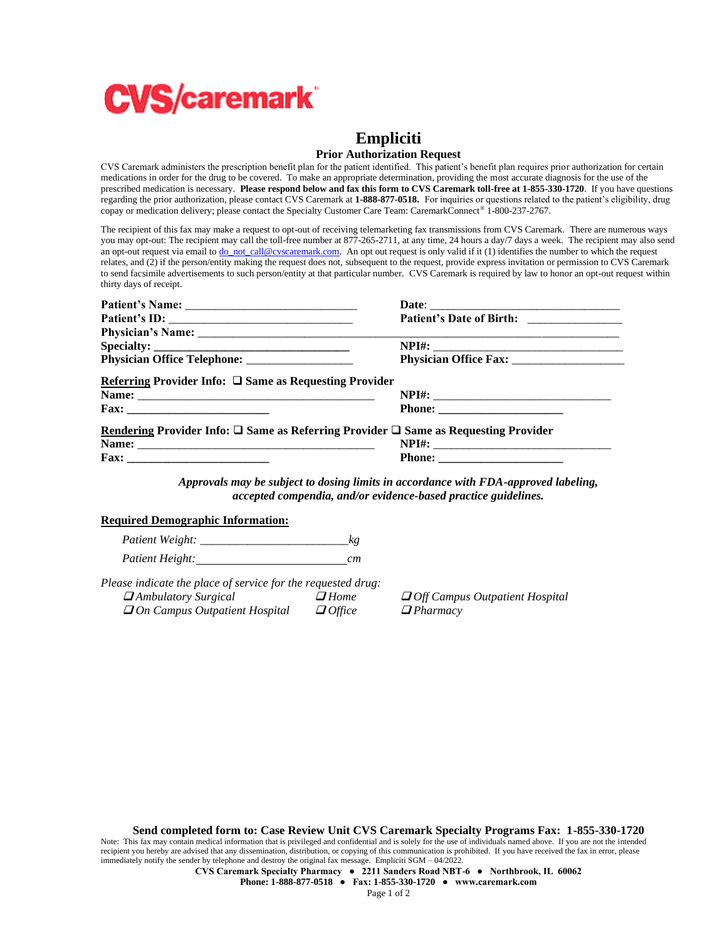

## **Empliciti**

## **Prior Authorization Request**

CVS Caremark administers the prescription benefit plan for the patient identified. This patient's benefit plan requires prior authorization for certain medications in order for the drug to be covered. To make an appropriate determination, providing the most accurate diagnosis for the use of the prescribed medication is necessary. **Please respond below and fax this form to CVS Caremark toll-free at 1-855-330-1720**. If you have questions regarding the prior authorization, please contact CVS Caremark at **1-888-877-0518.** For inquiries or questions related to the patient's eligibility, drug copay or medication delivery; please contact the Specialty Customer Care Team: CaremarkConnect® 1-800-237-2767.

The recipient of this fax may make a request to opt-out of receiving telemarketing fax transmissions from CVS Caremark. There are numerous ways you may opt-out: The recipient may call the toll-free number at 877-265-2711, at any time, 24 hours a day/7 days a week. The recipient may also send an opt-out request via email t[o do\\_not\\_call@cvscaremark.com.](mailto:do_not_call@cvscaremark.com) An opt out request is only valid if it (1) identifies the number to which the request relates, and (2) if the person/entity making the request does not, subsequent to the request, provide express invitation or permission to CVS Caremark to send facsimile advertisements to such person/entity at that particular number. CVS Caremark is required by law to honor an opt-out request within thirty days of receipt.

| Referring Provider Info: $\square$ Same as Requesting Provider                                      |  |
|-----------------------------------------------------------------------------------------------------|--|
|                                                                                                     |  |
| Rendering Provider Info: $\square$ Same as Referring Provider $\square$ Same as Requesting Provider |  |
|                                                                                                     |  |
|                                                                                                     |  |

*Approvals may be subject to dosing limits in accordance with FDA-approved labeling, accepted compendia, and/or evidence-based practice guidelines.*

## **Required Demographic Information:**

*Patient Weight:* \_\_\_\_\_\_\_\_\_\_\_\_\_\_\_\_\_\_\_\_\_\_\_\_\_*kg Patient Height: cm*

*Please indicate the place of service for the requested drug:* ❑ *Ambulatory Surgical* ❑ *Home* ❑ *Off Campus Outpatient Hospital*  ❑ *On Campus Outpatient Hospital* ❑ *Office* ❑ *Pharmacy*

**Send completed form to: Case Review Unit CVS Caremark Specialty Programs Fax: 1-855-330-1720**

Note: This fax may contain medical information that is privileged and confidential and is solely for the use of individuals named above. If you are not the intended recipient you hereby are advised that any dissemination, distribution, or copying of this communication is prohibited. If you have received the fax in error, please immediately notify the sender by telephone and destroy the original fax message. Empliciti SGM – 04/2022.

**CVS Caremark Specialty Pharmacy ● 2211 Sanders Road NBT-6 ● Northbrook, IL 60062**

**Phone: 1-888-877-0518 ● Fax: 1-855-330-1720 ● www.caremark.com**